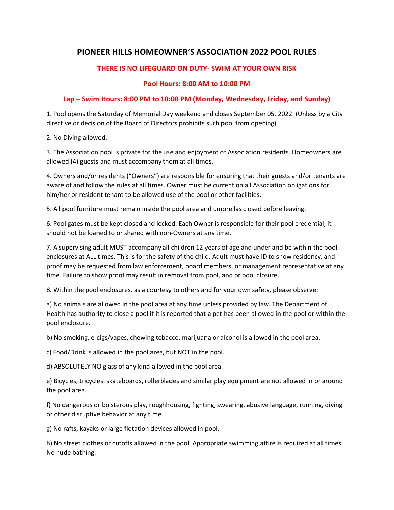## **PIONEER HILLS HOMEOWNER'S ASSOCIATION 2022 POOL RULES**

## **THERE IS NO LIFEGUARD ON DUTY- SWIM AT YOUR OWN RISK**

## **Pool Hours: 8:00 AM to 10:00 PM**

## **Lap – Swim Hours: 8:00 PM to 10:00 PM (Monday, Wednesday, Friday, and Sunday)**

1. Pool opens the Saturday of Memorial Day weekend and closes September 05, 2022. (Unless by a City directive or decision of the Board of Directors prohibits such pool from opening)

2. No Diving allowed.

3. The Association pool is private for the use and enjoyment of Association residents. Homeowners are allowed (4) guests and must accompany them at all times.

4. Owners and/or residents ("Owners") are responsible for ensuring that their guests and/or tenants are aware of and follow the rules at all times. Owner must be current on all Association obligations for him/her or resident tenant to be allowed use of the pool or other facilities.

5. All pool furniture must remain inside the pool area and umbrellas closed before leaving.

6. Pool gates must be kept closed and locked. Each Owner is responsible for their pool credential; it should not be loaned to or shared with non-Owners at any time.

7. A supervising adult MUST accompany all children 12 years of age and under and be within the pool enclosures at ALL times. This is for the safety of the child. Adult must have ID to show residency, and proof may be requested from law enforcement, board members, or management representative at any time. Failure to show proof may result in removal from pool, and or pool closure.

8. Within the pool enclosures, as a courtesy to others and for your own safety, please observe:

a) No animals are allowed in the pool area at any time unless provided by law. The Department of Health has authority to close a pool if it is reported that a pet has been allowed in the pool or within the pool enclosure.

b) No smoking, e-cigs/vapes, chewing tobacco, marijuana or alcohol is allowed in the pool area.

c) Food/Drink is allowed in the pool area, but NOT in the pool.

d) ABSOLUTELY NO glass of any kind allowed in the pool area.

e) Bicycles, tricycles, skateboards, rollerblades and similar play equipment are not allowed in or around the pool area.

f) No dangerous or boisterous play, roughhousing, fighting, swearing, abusive language, running, diving or other disruptive behavior at any time.

g) No rafts, kayaks or large flotation devices allowed in pool.

h) No street clothes or cutoffs allowed in the pool. Appropriate swimming attire is required at all times. No nude bathing.